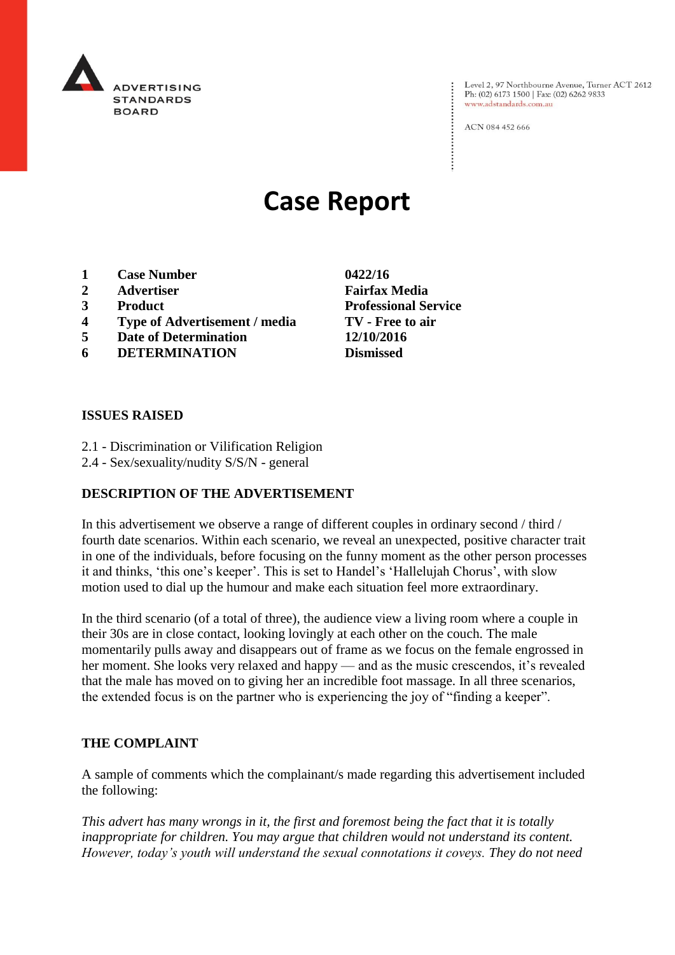

Level 2, 97 Northbourne Avenue, Turner ACT 2612 Ph: (02) 6173 1500 | Fax: (02) 6262 9833 www.adstandards.com.au

ACN 084 452 666

# **Case Report**

- **1 Case Number 0422/16**
- **2 Advertiser Fairfax Media**
- **3 Product Professional Service**
- **4 Type of Advertisement / media TV - Free to air**
- **5 Date of Determination 12/10/2016**
- **6 DETERMINATION Dismissed**

**ISSUES RAISED**

- 2.1 Discrimination or Vilification Religion
- 2.4 Sex/sexuality/nudity S/S/N general

# **DESCRIPTION OF THE ADVERTISEMENT**

In this advertisement we observe a range of different couples in ordinary second / third / fourth date scenarios. Within each scenario, we reveal an unexpected, positive character trait in one of the individuals, before focusing on the funny moment as the other person processes it and thinks, 'this one's keeper'. This is set to Handel's 'Hallelujah Chorus', with slow motion used to dial up the humour and make each situation feel more extraordinary.

In the third scenario (of a total of three), the audience view a living room where a couple in their 30s are in close contact, looking lovingly at each other on the couch. The male momentarily pulls away and disappears out of frame as we focus on the female engrossed in her moment. She looks very relaxed and happy — and as the music crescendos, it's revealed that the male has moved on to giving her an incredible foot massage. In all three scenarios, the extended focus is on the partner who is experiencing the joy of "finding a keeper".

#### **THE COMPLAINT**

A sample of comments which the complainant/s made regarding this advertisement included the following:

*This advert has many wrongs in it, the first and foremost being the fact that it is totally inappropriate for children. You may argue that children would not understand its content. However, today's youth will understand the sexual connotations it coveys. They do not need*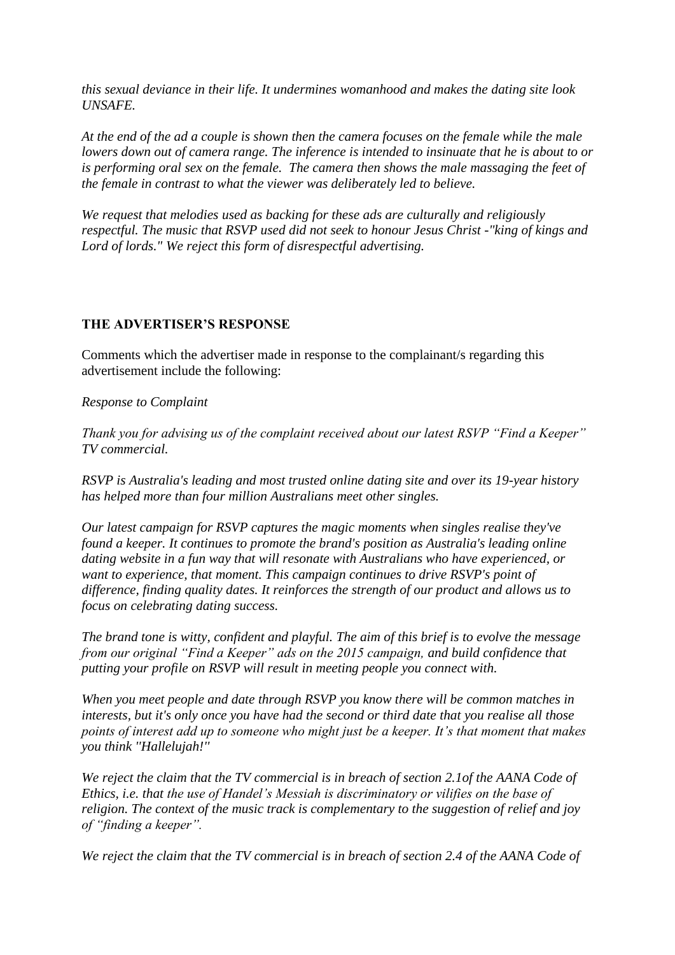*this sexual deviance in their life. It undermines womanhood and makes the dating site look UNSAFE.*

*At the end of the ad a couple is shown then the camera focuses on the female while the male lowers down out of camera range. The inference is intended to insinuate that he is about to or is performing oral sex on the female. The camera then shows the male massaging the feet of the female in contrast to what the viewer was deliberately led to believe.*

*We request that melodies used as backing for these ads are culturally and religiously respectful. The music that RSVP used did not seek to honour Jesus Christ -"king of kings and Lord of lords." We reject this form of disrespectful advertising.*

## **THE ADVERTISER'S RESPONSE**

Comments which the advertiser made in response to the complainant/s regarding this advertisement include the following:

*Response to Complaint*

*Thank you for advising us of the complaint received about our latest RSVP "Find a Keeper" TV commercial.*

*RSVP is Australia's leading and most trusted online dating site and over its 19-year history has helped more than four million Australians meet other singles.*

*Our latest campaign for RSVP captures the magic moments when singles realise they've found a keeper. It continues to promote the brand's position as Australia's leading online dating website in a fun way that will resonate with Australians who have experienced, or want to experience, that moment. This campaign continues to drive RSVP's point of difference, finding quality dates. It reinforces the strength of our product and allows us to focus on celebrating dating success.*

*The brand tone is witty, confident and playful. The aim of this brief is to evolve the message from our original "Find a Keeper" ads on the 2015 campaign, and build confidence that putting your profile on RSVP will result in meeting people you connect with.*

*When you meet people and date through RSVP you know there will be common matches in interests, but it's only once you have had the second or third date that you realise all those points of interest add up to someone who might just be a keeper. It's that moment that makes you think ''Hallelujah!''*

*We reject the claim that the TV commercial is in breach of section 2.1of the AANA Code of Ethics, i.e. that the use of Handel's Messiah is discriminatory or vilifies on the base of religion. The context of the music track is complementary to the suggestion of relief and joy of "finding a keeper".*

*We reject the claim that the TV commercial is in breach of section 2.4 of the AANA Code of*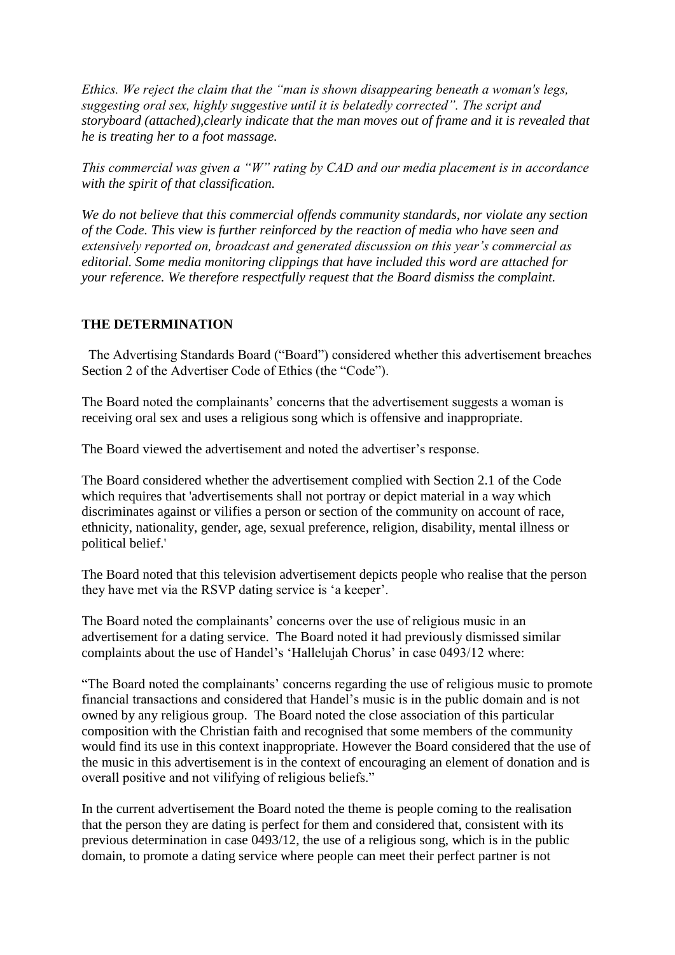*Ethics. We reject the claim that the "man is shown disappearing beneath a woman's legs, suggesting oral sex, highly suggestive until it is belatedly corrected". The script and storyboard (attached),clearly indicate that the man moves out of frame and it is revealed that he is treating her to a foot massage.*

*This commercial was given a "W" rating by CAD and our media placement is in accordance with the spirit of that classification.*

*We do not believe that this commercial offends community standards, nor violate any section of the Code. This view is further reinforced by the reaction of media who have seen and extensively reported on, broadcast and generated discussion on this year's commercial as editorial. Some media monitoring clippings that have included this word are attached for your reference. We therefore respectfully request that the Board dismiss the complaint.*

## **THE DETERMINATION**

 The Advertising Standards Board ("Board") considered whether this advertisement breaches Section 2 of the Advertiser Code of Ethics (the "Code").

The Board noted the complainants' concerns that the advertisement suggests a woman is receiving oral sex and uses a religious song which is offensive and inappropriate.

The Board viewed the advertisement and noted the advertiser's response.

The Board considered whether the advertisement complied with Section 2.1 of the Code which requires that 'advertisements shall not portray or depict material in a way which discriminates against or vilifies a person or section of the community on account of race, ethnicity, nationality, gender, age, sexual preference, religion, disability, mental illness or political belief.'

The Board noted that this television advertisement depicts people who realise that the person they have met via the RSVP dating service is 'a keeper'.

The Board noted the complainants' concerns over the use of religious music in an advertisement for a dating service. The Board noted it had previously dismissed similar complaints about the use of Handel's 'Hallelujah Chorus' in case 0493/12 where:

"The Board noted the complainants' concerns regarding the use of religious music to promote financial transactions and considered that Handel's music is in the public domain and is not owned by any religious group. The Board noted the close association of this particular composition with the Christian faith and recognised that some members of the community would find its use in this context inappropriate. However the Board considered that the use of the music in this advertisement is in the context of encouraging an element of donation and is overall positive and not vilifying of religious beliefs."

In the current advertisement the Board noted the theme is people coming to the realisation that the person they are dating is perfect for them and considered that, consistent with its previous determination in case 0493/12, the use of a religious song, which is in the public domain, to promote a dating service where people can meet their perfect partner is not